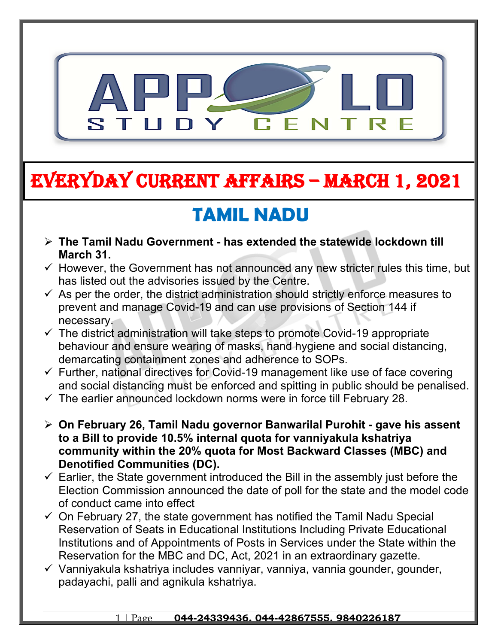

# **EVERYDAY CURRENT AFFAIRS – MARCH 1, 2021**

**-**

# **TAMIL NADU**

- **The Tamil Nadu Government has extended the statewide lockdown till March 31.**
- $\checkmark$  However, the Government has not announced any new stricter rules this time, but has listed out the advisories issued by the Centre.
- $\checkmark$  As per the order, the district administration should strictly enforce measures to prevent and manage Covid-19 and can use provisions of Section 144 if necessary.
- $\checkmark$  The district administration will take steps to promote Covid-19 appropriate behaviour and ensure wearing of masks, hand hygiene and social distancing, demarcating containment zones and adherence to SOPs.
- $\checkmark$  Further, national directives for Covid-19 management like use of face covering and social distancing must be enforced and spitting in public should be penalised.
- $\checkmark$  The earlier announced lockdown norms were in force till February 28.
- **On February 26, Tamil Nadu governor Banwarilal Purohit gave his assent to a Bill to provide 10.5% internal quota for vanniyakula kshatriya community within the 20% quota for Most Backward Classes (MBC) and Denotified Communities (DC).**
- $\checkmark$  Earlier, the State government introduced the Bill in the assembly just before the Election Commission announced the date of poll for the state and the model code of conduct came into effect
- $\checkmark$  On February 27, the state government has notified the Tamil Nadu Special Reservation of Seats in Educational Institutions Including Private Educational Institutions and of Appointments of Posts in Services under the State within the Reservation for the MBC and DC, Act, 2021 in an extraordinary gazette.
- $\checkmark$  Vanniyakula kshatriya includes vanniyar, vanniya, vannia gounder, gounder, padayachi, palli and agnikula kshatriya.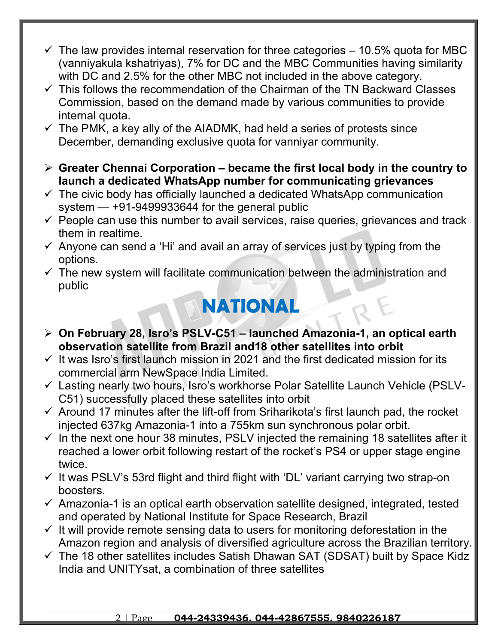- $\checkmark$  The law provides internal reservation for three categories 10.5% quota for MBC (vanniyakula kshatriyas), 7% for DC and the MBC Communities having similarity with DC and 2.5% for the other MBC not included in the above category.
- $\checkmark$  This follows the recommendation of the Chairman of the TN Backward Classes Commission, based on the demand made by various communities to provide internal quota.
- $\checkmark$  The PMK, a key ally of the AIADMK, had held a series of protests since December, demanding exclusive quota for vanniyar community.
- **Greater Chennai Corporation became the first local body in the country to launch a dedicated WhatsApp number for communicating grievances**
- $\checkmark$  The civic body has officially launched a dedicated WhatsApp communication system — +91-9499933644 for the general public
- $\checkmark$  People can use this number to avail services, raise queries, grievances and track them in realtime.
- $\checkmark$  Anyone can send a 'Hi' and avail an array of services just by typing from the options.
- $\checkmark$  The new system will facilitate communication between the administration and public

### **NATIONAL**

- **On February 28, Isro's PSLV-C51 launched Amazonia-1, an optical earth observation satellite from Brazil and18 other satellites into orbit**
- $\checkmark$  It was Isro's first launch mission in 2021 and the first dedicated mission for its commercial arm NewSpace India Limited.
- Lasting nearly two hours, Isro's workhorse Polar Satellite Launch Vehicle (PSLV-C51) successfully placed these satellites into orbit
- $\checkmark$  Around 17 minutes after the lift-off from Sriharikota's first launch pad, the rocket injected 637kg Amazonia-1 into a 755km sun synchronous polar orbit.
- $\checkmark$  In the next one hour 38 minutes, PSLV injected the remaining 18 satellites after it reached a lower orbit following restart of the rocket's PS4 or upper stage engine twice.
- $\checkmark$  It was PSLV's 53rd flight and third flight with 'DL' variant carrying two strap-on boosters.
- $\checkmark$  Amazonia-1 is an optical earth observation satellite designed, integrated, tested and operated by National Institute for Space Research, Brazil
- $\checkmark$  It will provide remote sensing data to users for monitoring deforestation in the Amazon region and analysis of diversified agriculture across the Brazilian territory.
- $\checkmark$  The 18 other satellites includes Satish Dhawan SAT (SDSAT) built by Space Kidz India and UNITYsat, a combination of three satellites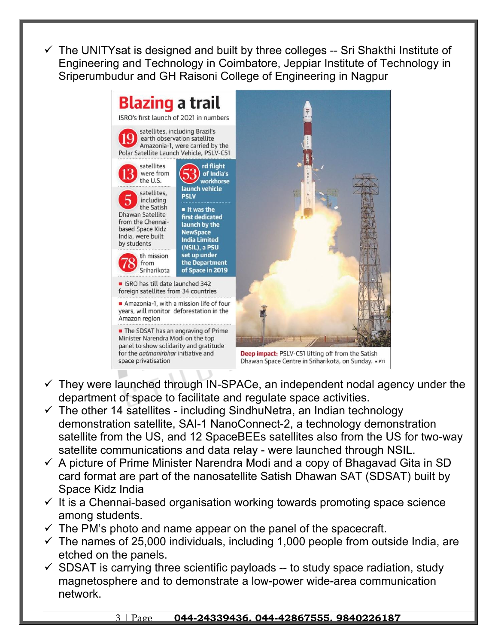The UNITYsat is designed and built by three colleges -- Sri Shakthi Institute of Engineering and Technology in Coimbatore, Jeppiar Institute of Technology in Sriperumbudur and GH Raisoni College of Engineering in Nagpur



- $\checkmark$  They were launched through IN-SPACe, an independent nodal agency under the department of space to facilitate and regulate space activities.
- $\checkmark$  The other 14 satellites including SindhuNetra, an Indian technology demonstration satellite, SAI-1 NanoConnect-2, a technology demonstration satellite from the US, and 12 SpaceBEEs satellites also from the US for two-way satellite communications and data relay - were launched through NSIL.
- $\checkmark$  A picture of Prime Minister Narendra Modi and a copy of Bhagavad Gita in SD card format are part of the nanosatellite Satish Dhawan SAT (SDSAT) built by Space Kidz India
- $\checkmark$  It is a Chennai-based organisation working towards promoting space science among students.
- $\checkmark$  The PM's photo and name appear on the panel of the spacecraft.
- $\checkmark$  The names of 25,000 individuals, including 1,000 people from outside India, are etched on the panels.
- $\checkmark$  SDSAT is carrying three scientific payloads -- to study space radiation, study magnetosphere and to demonstrate a low-power wide-area communication network.

#### 3 | Page **044-24339436, 044-42867555, 9840226187**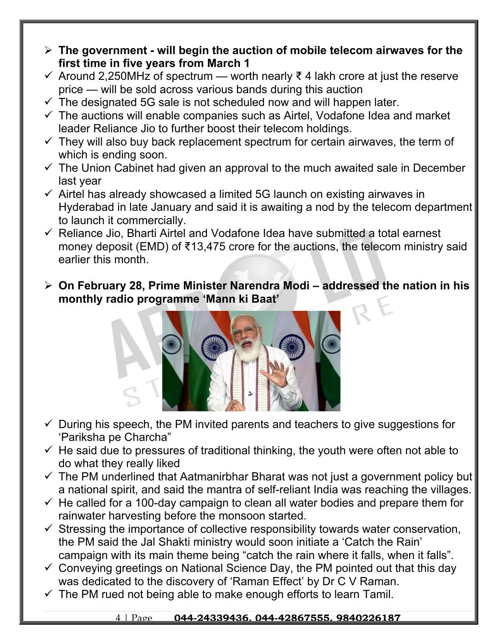- **The government will begin the auction of mobile telecom airwaves for the first time in five years from March 1**
- $\checkmark$  Around 2,250MHz of spectrum worth nearly  $\check{\tau}$  4 lakh crore at just the reserve price — will be sold across various bands during this auction
- $\checkmark$  The designated 5G sale is not scheduled now and will happen later.
- $\checkmark$  The auctions will enable companies such as Airtel, Vodafone Idea and market leader Reliance Jio to further boost their telecom holdings.
- $\checkmark$  They will also buy back replacement spectrum for certain airwaves, the term of which is ending soon.
- $\checkmark$  The Union Cabinet had given an approval to the much awaited sale in December last year
- $\checkmark$  Airtel has already showcased a limited 5G launch on existing airwaves in Hyderabad in late January and said it is awaiting a nod by the telecom department to launch it commercially.
- $\checkmark$  Reliance Jio, Bharti Airtel and Vodafone Idea have submitted a total earnest money deposit (EMD) of ₹13,475 crore for the auctions, the telecom ministry said earlier this month.
- **On February 28, Prime Minister Narendra Modi addressed the nation in his monthly radio programme 'Mann ki Baat'**



- $\checkmark$  During his speech, the PM invited parents and teachers to give suggestions for 'Pariksha pe Charcha"
- $\checkmark$  He said due to pressures of traditional thinking, the youth were often not able to do what they really liked
- $\checkmark$  The PM underlined that Aatmanirbhar Bharat was not just a government policy but a national spirit, and said the mantra of self-reliant India was reaching the villages.
- $\checkmark$  He called for a 100-day campaign to clean all water bodies and prepare them for rainwater harvesting before the monsoon started.
- $\checkmark$  Stressing the importance of collective responsibility towards water conservation, the PM said the Jal Shakti ministry would soon initiate a 'Catch the Rain' campaign with its main theme being "catch the rain where it falls, when it falls".
- $\checkmark$  Conveying greetings on National Science Day, the PM pointed out that this day was dedicated to the discovery of 'Raman Effect' by Dr C V Raman.
- $\checkmark$  The PM rued not being able to make enough efforts to learn Tamil.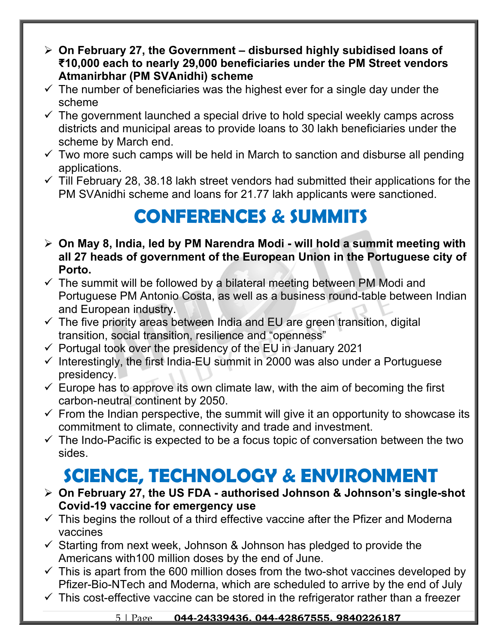- **On February 27, the Government disbursed highly subidised loans of ₹10,000 each to nearly 29,000 beneficiaries under the PM Street vendors Atmanirbhar (PM SVAnidhi) scheme**
- $\checkmark$  The number of beneficiaries was the highest ever for a single day under the scheme
- $\checkmark$  The government launched a special drive to hold special weekly camps across districts and municipal areas to provide loans to 30 lakh beneficiaries under the scheme by March end.
- $\checkmark$  Two more such camps will be held in March to sanction and disburse all pending applications.
- $\checkmark$  Till February 28, 38.18 lakh street vendors had submitted their applications for the PM SVAnidhi scheme and loans for 21.77 lakh applicants were sanctioned.

## **CONFERENCES & SUMMITS**

- **On May 8, India, led by PM Narendra Modi will hold a summit meeting with all 27 heads of government of the European Union in the Portuguese city of Porto.**
- $\checkmark$  The summit will be followed by a bilateral meeting between PM Modi and Portuguese PM Antonio Costa, as well as a business round-table between Indian and European industry.
- $\checkmark$  The five priority areas between India and EU are green transition, digital transition, social transition, resilience and "openness"
- $\checkmark$  Portugal took over the presidency of the EU in January 2021
- $\checkmark$  Interestingly, the first India-EU summit in 2000 was also under a Portuguese presidency.
- $\checkmark$  Europe has to approve its own climate law, with the aim of becoming the first carbon-neutral continent by 2050.
- $\checkmark$  From the Indian perspective, the summit will give it an opportunity to showcase its commitment to climate, connectivity and trade and investment.
- $\checkmark$  The Indo-Pacific is expected to be a focus topic of conversation between the two sides.

## **SCIENCE, TECHNOLOGY & ENVIRONMENT**

- **On February 27, the US FDA authorised Johnson & Johnson's single-shot Covid-19 vaccine for emergency use**
- $\checkmark$  This begins the rollout of a third effective vaccine after the Pfizer and Moderna vaccines
- $\checkmark$  Starting from next week, Johnson & Johnson has pledged to provide the Americans with100 million doses by the end of June.
- $\checkmark$  This is apart from the 600 million doses from the two-shot vaccines developed by Pfizer-Bio-NTech and Moderna, which are scheduled to arrive by the end of July
- $\checkmark$  This cost-effective vaccine can be stored in the refrigerator rather than a freezer